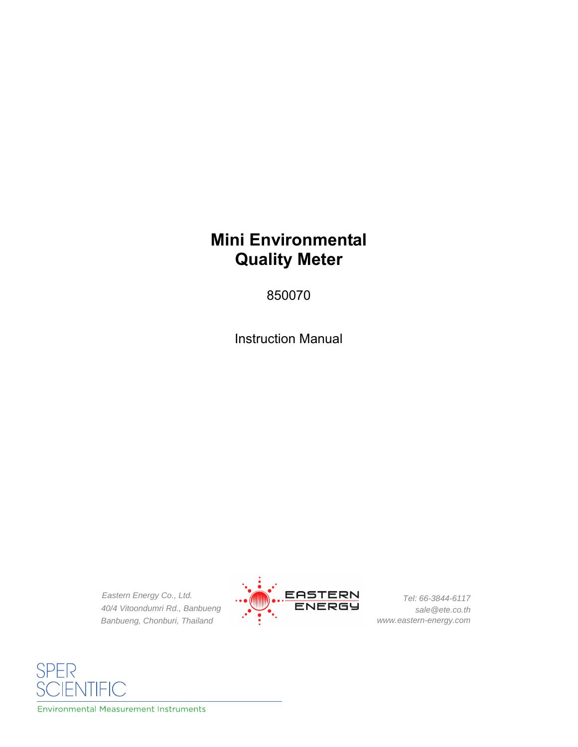# **Mini Environmental Quality Meter**

850070

Instruction Manual

*Eastern Energy Co., Ltd. 40/4 Vitoondumri Rd., Banbueng Banbueng, Chonburi, Thailand*



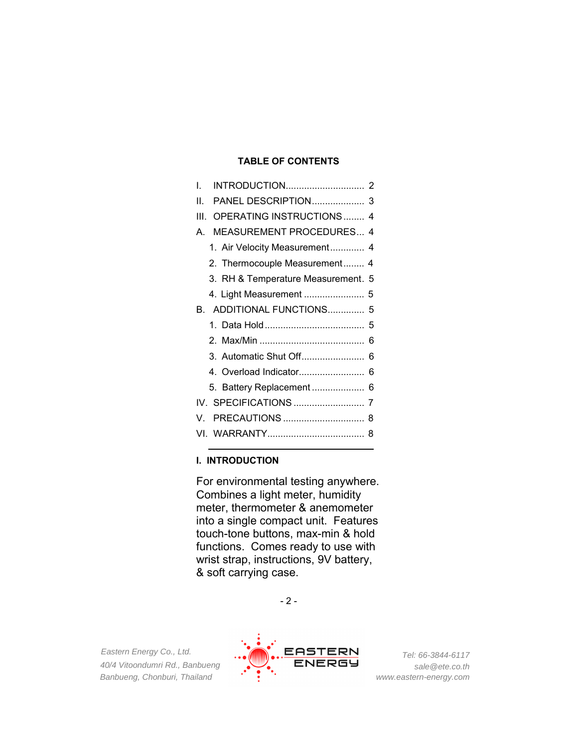# **TABLE OF CONTENTS**

| L                                    |
|--------------------------------------|
| Н.                                   |
| OPERATING INSTRUCTIONS  4<br>Ш       |
| <b>MEASUREMENT PROCEDURES 4</b><br>A |
| 1. Air Velocity Measurement 4        |
| 2. Thermocouple Measurement 4        |
| 3. RH & Temperature Measurement. 5   |
| 4. Light Measurement  5              |
| B. ADDITIONAL FUNCTIONS 5            |
|                                      |
|                                      |
| 3. Automatic Shut Off 6              |
|                                      |
|                                      |
|                                      |
| V                                    |
|                                      |

## **I. INTRODUCTION**

For environmental testing anywhere. Combines a light meter, humidity meter, thermometer & anemometer into a single compact unit. Features touch-tone buttons, max-min & hold functions. Comes ready to use with wrist strap, instructions, 9V battery, & soft carrying case.



*Eastern Energy Co., Ltd. 40/4 Vitoondumri Rd., Banbueng Banbueng, Chonburi, Thailand*

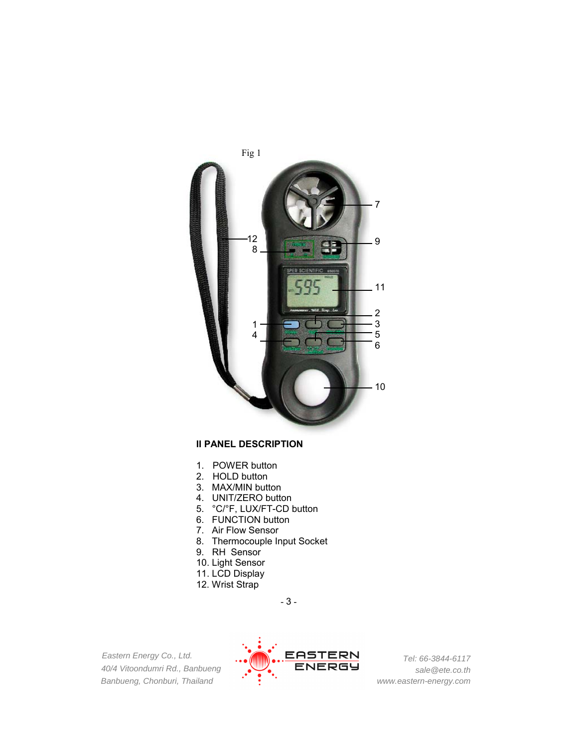

### **II PANEL DESCRIPTION**

- 1. POWER button
- 2. HOLD button
- 3. MAX/MIN button
- 4. UNIT/ZERO button
- 5. °C/°F, LUX/FT-CD button
- 6. FUNCTION button
- 7. Air Flow Sensor
- 8. Thermocouple Input Socket
- 9. RH Sensor
- 10. Light Sensor
- 11. LCD Display
- 12. Wrist Strap

- 3 -

*Eastern Energy Co., Ltd. 40/4 Vitoondumri Rd., Banbueng Banbueng, Chonburi, Thailand*

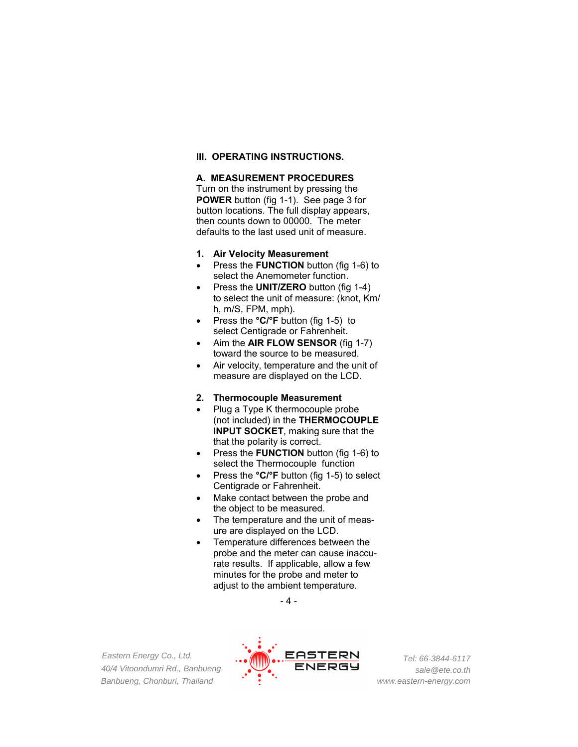#### **III. OPERATING INSTRUCTIONS.**

### **A. MEASUREMENT PROCEDURES**

Turn on the instrument by pressing the **POWER** button (fig 1-1). See page 3 for button locations. The full display appears, then counts down to 00000. The meter defaults to the last used unit of measure.

- **1. Air Velocity Measurement**
- Press the **FUNCTION** button (fig 1-6) to select the Anemometer function.
- Press the **UNIT/ZERO** button (fig 1-4) to select the unit of measure: (knot, Km/ h, m/S, FPM, mph).
- Press the **°C/°F** button (fig 1-5) to select Centigrade or Fahrenheit.
- Aim the **AIR FLOW SENSOR** (fig 1-7) toward the source to be measured.
- Air velocity, temperature and the unit of measure are displayed on the LCD.
- **2. Thermocouple Measurement**
- Plug a Type K thermocouple probe (not included) in the **THERMOCOUPLE INPUT SOCKET**, making sure that the that the polarity is correct.
- Press the **FUNCTION** button (fig 1-6) to select the Thermocouple function
- Press the **°C/°F** button (fig 1-5) to select Centigrade or Fahrenheit.
- Make contact between the probe and the object to be measured.
- The temperature and the unit of measure are displayed on the LCD.
- Temperature differences between the probe and the meter can cause inaccurate results. If applicable, allow a few minutes for the probe and meter to adjust to the ambient temperature.



*Eastern Energy Co., Ltd. 40/4 Vitoondumri Rd., Banbueng Banbueng, Chonburi, Thailand*

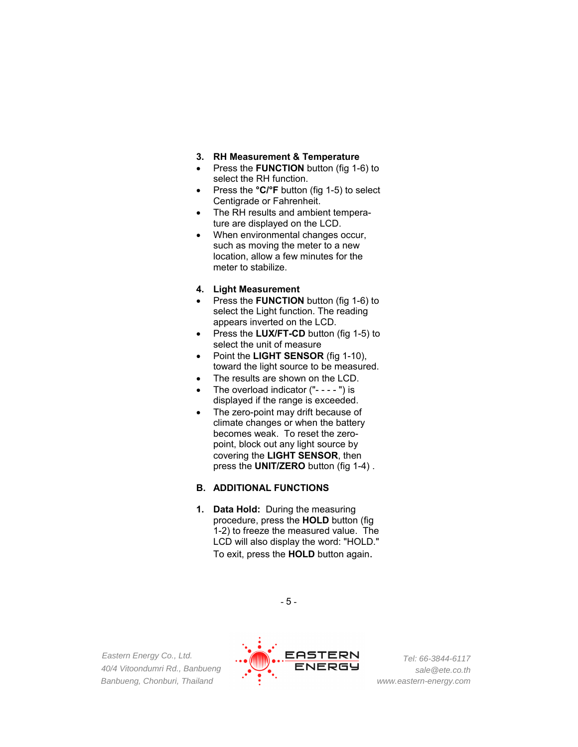- **3. RH Measurement & Temperature**
- Press the **FUNCTION** button (fig 1-6) to select the RH function.
- Press the **°C/°F** button (fig 1-5) to select Centigrade or Fahrenheit.
- The RH results and ambient temperature are displayed on the LCD.
- When environmental changes occur, such as moving the meter to a new location, allow a few minutes for the meter to stabilize.
- **4. Light Measurement**
- Press the **FUNCTION** button (fig 1-6) to select the Light function. The reading appears inverted on the LCD.
- Press the **LUX/FT-CD** button (fig 1-5) to select the unit of measure
- Point the **LIGHT SENSOR** (fig 1-10), toward the light source to be measured.
- The results are shown on the LCD.
- The overload indicator ("- - ") is displayed if the range is exceeded.
- The zero-point may drift because of climate changes or when the battery becomes weak. To reset the zeropoint, block out any light source by covering the **LIGHT SENSOR**, then press the **UNIT/ZERO** button (fig 1-4) .

#### **B. ADDITIONAL FUNCTIONS**

**1. Data Hold:** During the measuring procedure, press the **HOLD** button (fig 1-2) to freeze the measured value. The LCD will also display the word: "HOLD." To exit, press the **HOLD** button again.



*Eastern Energy Co., Ltd. 40/4 Vitoondumri Rd., Banbueng Banbueng, Chonburi, Thailand*

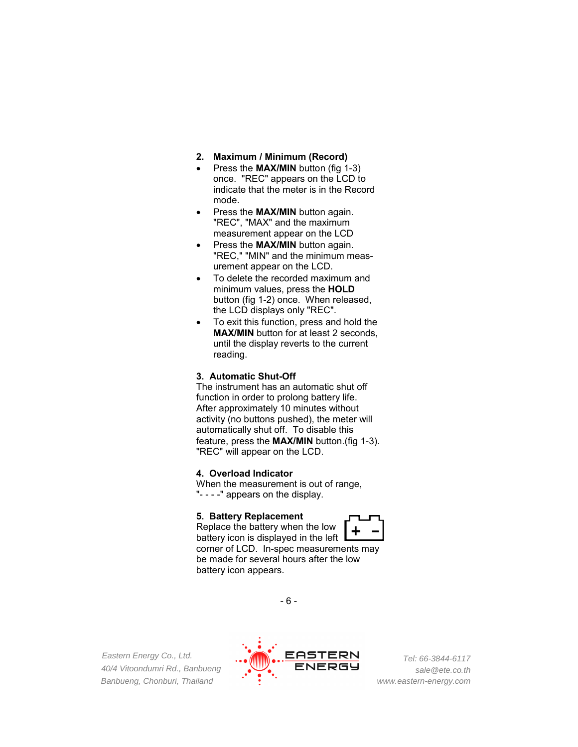- **2. Maximum / Minimum (Record)**
- Press the **MAX/MIN** button (fig 1-3) once. "REC" appears on the LCD to indicate that the meter is in the Record mode.
- Press the **MAX/MIN** button again. "REC", "MAX" and the maximum measurement appear on the LCD
- Press the **MAX/MIN** button again. "REC," "MIN" and the minimum measurement appear on the LCD.
- To delete the recorded maximum and minimum values, press the **HOLD**  button (fig 1-2) once. When released, the LCD displays only "REC".
- To exit this function, press and hold the **MAX/MIN** button for at least 2 seconds, until the display reverts to the current reading.

#### **3. Automatic Shut-Off**

The instrument has an automatic shut off function in order to prolong battery life. After approximately 10 minutes without activity (no buttons pushed), the meter will automatically shut off. To disable this feature, press the **MAX/MIN** button.(fig 1-3). "REC" will appear on the LCD.

#### **4. Overload Indicator**

When the measurement is out of range, "- - - -" appears on the display.

#### **5. Battery Replacement**



Replace the battery when the low battery icon is displayed in the left corner of LCD. In-spec measurements may be made for several hours after the low battery icon appears.



*Eastern Energy Co., Ltd. 40/4 Vitoondumri Rd., Banbueng Banbueng, Chonburi, Thailand*